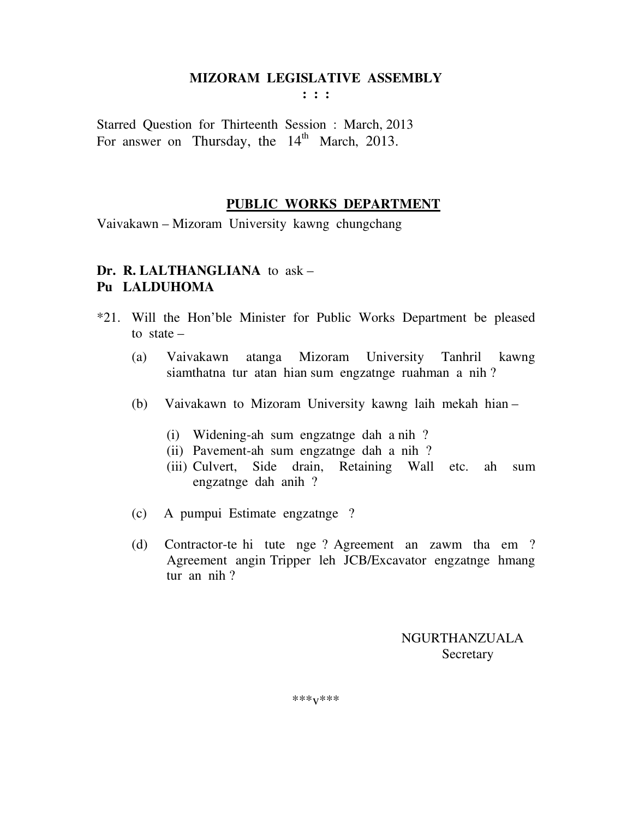**: : :** 

Starred Question for Thirteenth Session : March, 2013 For answer on Thursday, the  $14<sup>th</sup>$  March, 2013.

#### **PUBLIC WORKS DEPARTMENT**

Vaivakawn – Mizoram University kawng chungchang

### **Dr. R. LALTHANGLIANA** to ask – **Pu LALDUHOMA**

- \*21. Will the Hon'ble Minister for Public Works Department be pleased to state –
	- (a) Vaivakawn atanga Mizoram University Tanhril kawng siamthatna tur atan hian sum engzatnge ruahman a nih ?
	- (b) Vaivakawn to Mizoram University kawng laih mekah hian
		- (i) Widening-ah sum engzatnge dah a nih ?
		- (ii) Pavement-ah sum engzatnge dah a nih ?
		- (iii) Culvert, Side drain, Retaining Wall etc. ah sum engzatnge dah anih ?
	- (c) A pumpui Estimate engzatnge ?
	- (d) Contractor-te hi tute nge ? Agreement an zawm tha em ? Agreement angin Tripper leh JCB/Excavator engzatnge hmang tur an nih ?

 NGURTHANZUALA **Secretary** 

\*\*\*v\*\*\*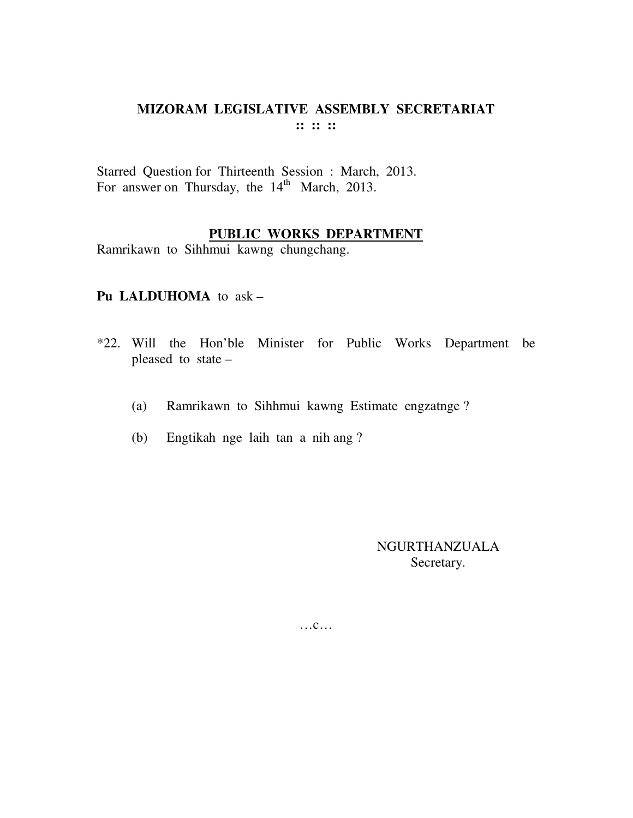# **MIZORAM LEGISLATIVE ASSEMBLY SECRETARIAT :: :: ::**

Starred Question for Thirteenth Session : March, 2013. For answer on Thursday, the  $14<sup>th</sup>$  March, 2013.

### **PUBLIC WORKS DEPARTMENT**

Ramrikawn to Sihhmui kawng chungchang.

#### **Pu LALDUHOMA** to ask –

- \*22. Will the Hon'ble Minister for Public Works Department be pleased to state –
	- (a) Ramrikawn to Sihhmui kawng Estimate engzatnge ?
	- (b) Engtikah nge laih tan a nih ang ?

NGURTHANZUALA Secretary.

…c…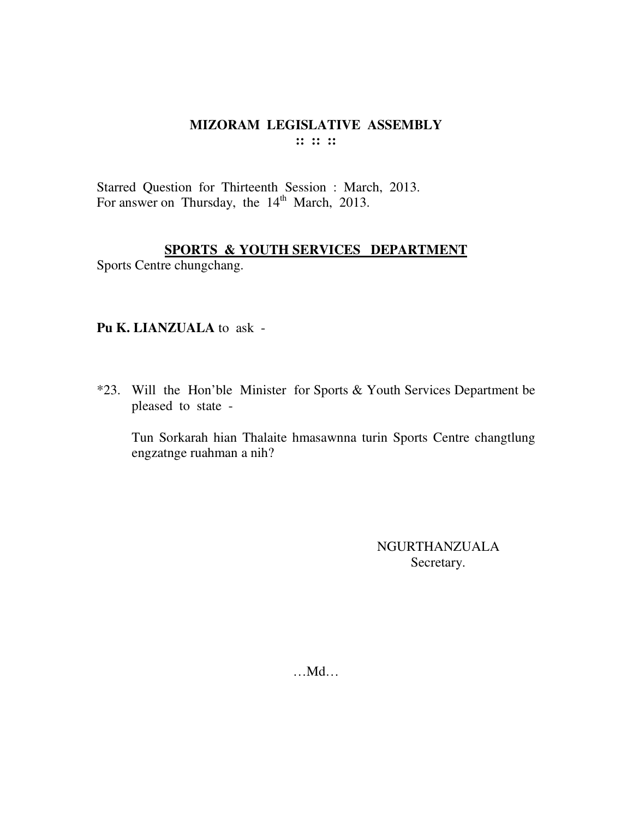#### MIZORAM LEGISLATIVE ASSEMBLY  $\mathbf{::} :: \mathbf{::}$

Starred Question for Thirteenth Session : March, 2013. For answer on Thursday, the 14<sup>th</sup> March, 2013.

#### SPORTS & YOUTH SERVICES DEPARTMENT

Sports Centre chungchang.

#### Pu K. LIANZUALA to ask -

\*23. Will the Hon'ble Minister for Sports & Youth Services Department be pleased to state -

Tun Sorkarah hian Thalaite hmasawnna turin Sports Centre changtlung engzatnge ruahman a nih?

> **NGURTHANZUALA** Secretary.

 $...$ Md $...$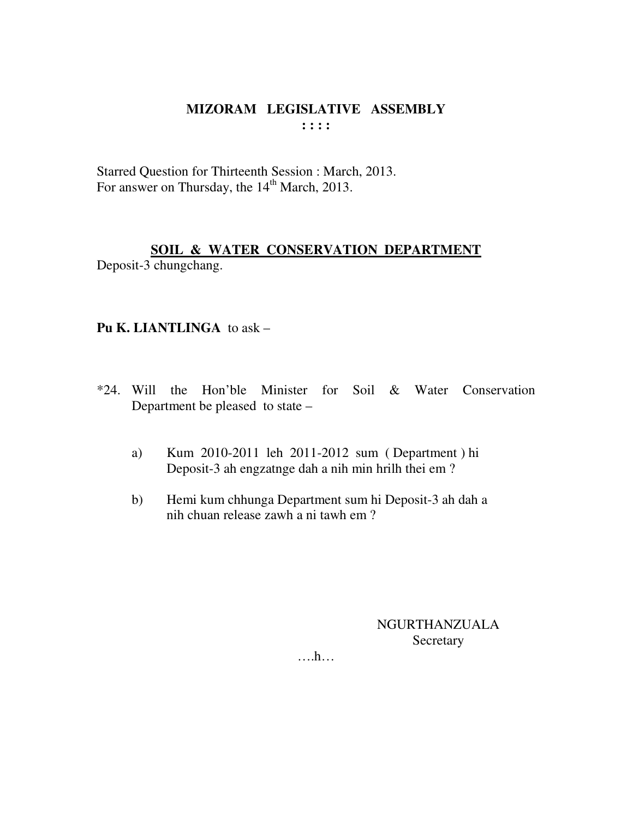Starred Question for Thirteenth Session : March, 2013. For answer on Thursday, the 14<sup>th</sup> March, 2013.

### SOIL & WATER CONSERVATION DEPARTMENT Deposit-3 chungchang.

#### Pu K. LIANTLINGA to ask -

- \*24. Will the Hon'ble Minister for Soil & Water Conservation Department be pleased to state –
	- Kum 2010-2011 leh 2011-2012 sum (Department) hi a) Deposit-3 ah engzatnge dah a nih min hrilh thei em?
	- Hemi kum chhunga Department sum hi Deposit-3 ah dah a  $b)$ nih chuan release zawh a ni tawh em?

NGURTHANZUALA Secretary

 $\dots$ ...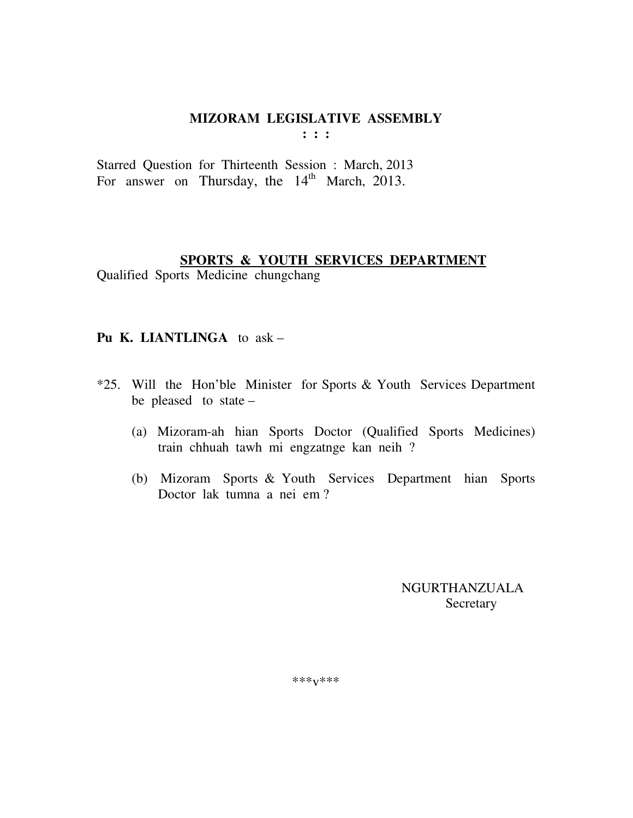$: : :$ 

Starred Question for Thirteenth Session: March, 2013 For answer on Thursday, the 14<sup>th</sup> March, 2013.

### **SPORTS & YOUTH SERVICES DEPARTMENT**

Qualified Sports Medicine chungchang

#### Pu K. LIANTLINGA to ask -

- \*25. Will the Hon'ble Minister for Sports & Youth Services Department be pleased to state -
	- (a) Mizoram-ah hian Sports Doctor (Qualified Sports Medicines) train chhuah tawh mi engzatnge kan neih ?
	- (b) Mizoram Sports & Youth Services Department hian Sports Doctor lak tumna a nei em?

**NGURTHANZUALA** Secretary

\*\*\* $V$ \*\*\*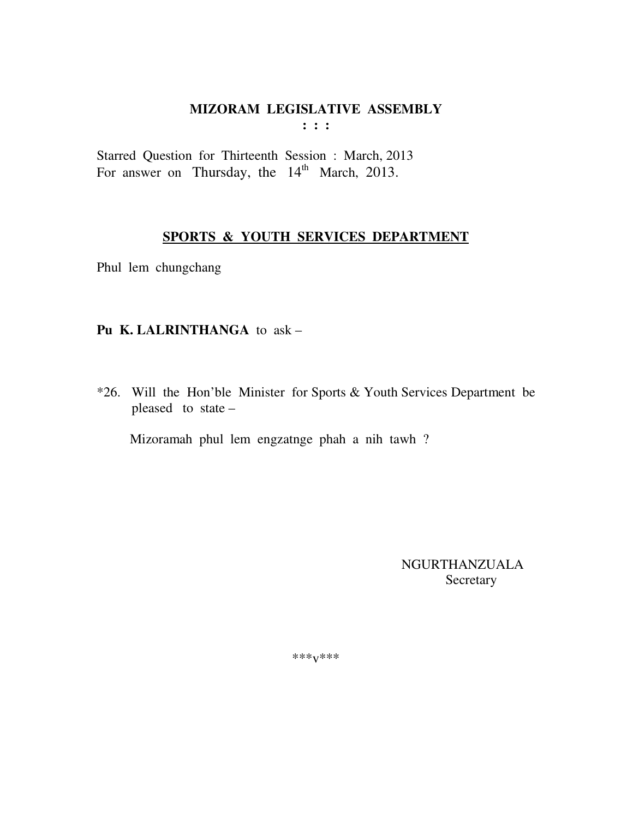$: : :$ 

Starred Question for Thirteenth Session : March, 2013 For answer on Thursday, the  $14<sup>th</sup>$  March, 2013.

# SPORTS & YOUTH SERVICES DEPARTMENT

Phul lem chungchang

### Pu K. LALRINTHANGA to ask -

\*26. Will the Hon'ble Minister for Sports & Youth Services Department be pleased to state -

Mizoramah phul lem engzatnge phah a nih tawh ?

**NGURTHANZUALA** Secretary

\*\*\* $V$ \*\*\*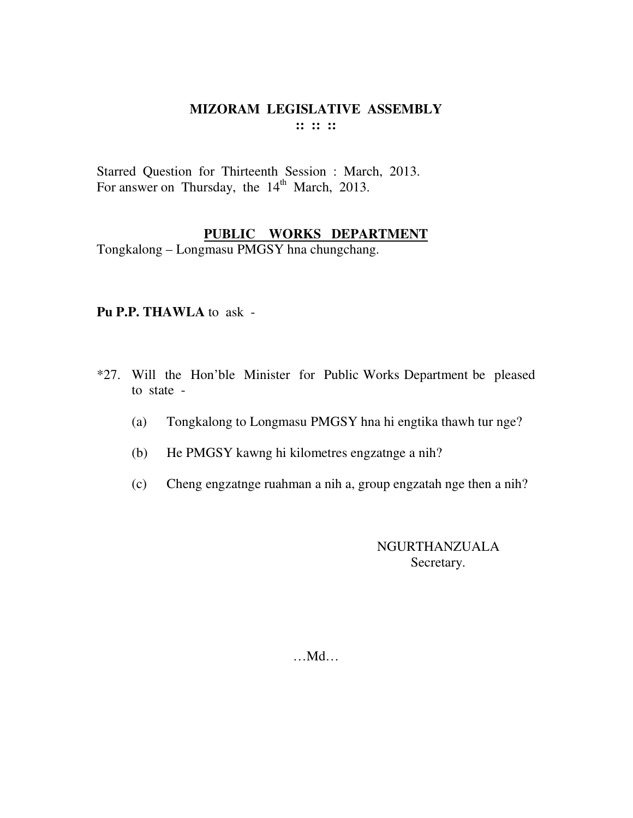Starred Question for Thirteenth Session : March, 2013. For answer on Thursday, the 14<sup>th</sup> March, 2013.

## **PUBLIC WORKS DEPARTMENT**

Tongkalong – Longmasu PMGSY hna chungchang.

#### **Pu P.P. THAWLA** to ask -

- \*27. Will the Hon'ble Minister for Public Works Department be pleased to state -
	- (a) Tongkalong to Longmasu PMGSY hna hi engtika thawh tur nge?
	- (b) He PMGSY kawng hi kilometres engzatnge a nih?
	- (c) Cheng engzatnge ruahman a nih a, group engzatah nge then a nih?

NGURTHANZUALA Secretary.

…Md…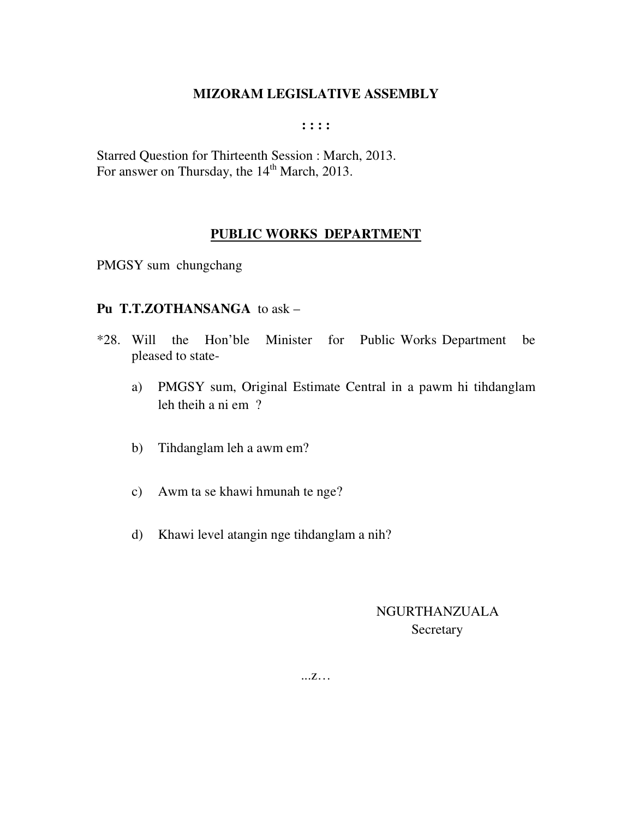**: : : :** 

Starred Question for Thirteenth Session : March, 2013. For answer on Thursday, the 14<sup>th</sup> March, 2013.

### **PUBLIC WORKS DEPARTMENT**

PMGSY sum chungchang

#### **Pu T.T.ZOTHANSANGA** to ask –

- \*28. Will the Hon'ble Minister for Public Works Department be pleased to state
	- a) PMGSY sum, Original Estimate Central in a pawm hi tihdanglam leh theih a ni em ?
	- b) Tihdanglam leh a awm em?
	- c) Awm ta se khawi hmunah te nge?
	- d) Khawi level atangin nge tihdanglam a nih?

NGURTHANZUALA **Secretary** 

...z…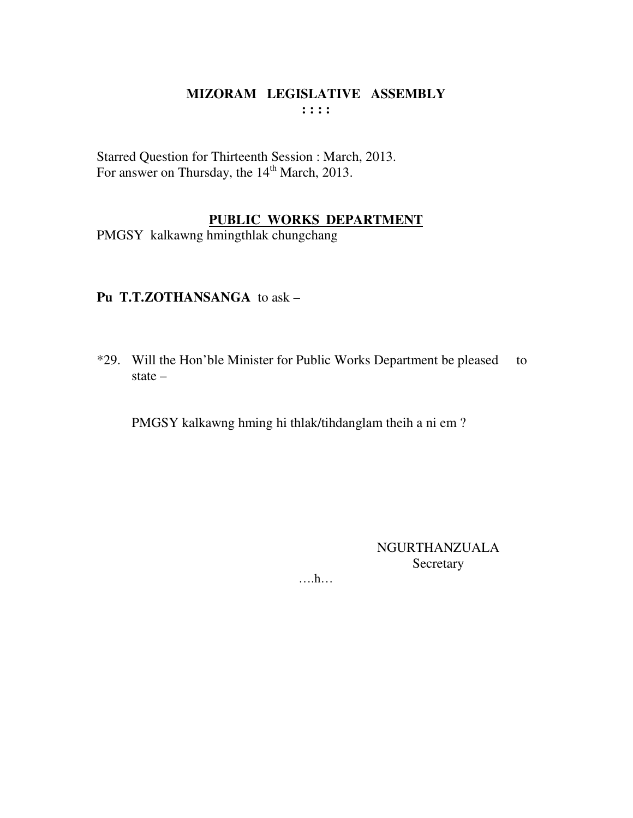Starred Question for Thirteenth Session : March, 2013. For answer on Thursday, the 14<sup>th</sup> March, 2013.

### **PUBLIC WORKS DEPARTMENT**

PMGSY kalkawng hmingthlak chungchang

### **Pu T.T.ZOTHANSANGA** to ask –

\*29. Will the Hon'ble Minister for Public Works Department be pleased to state –

PMGSY kalkawng hming hi thlak/tihdanglam theih a ni em ?

NGURTHANZUALA Secretary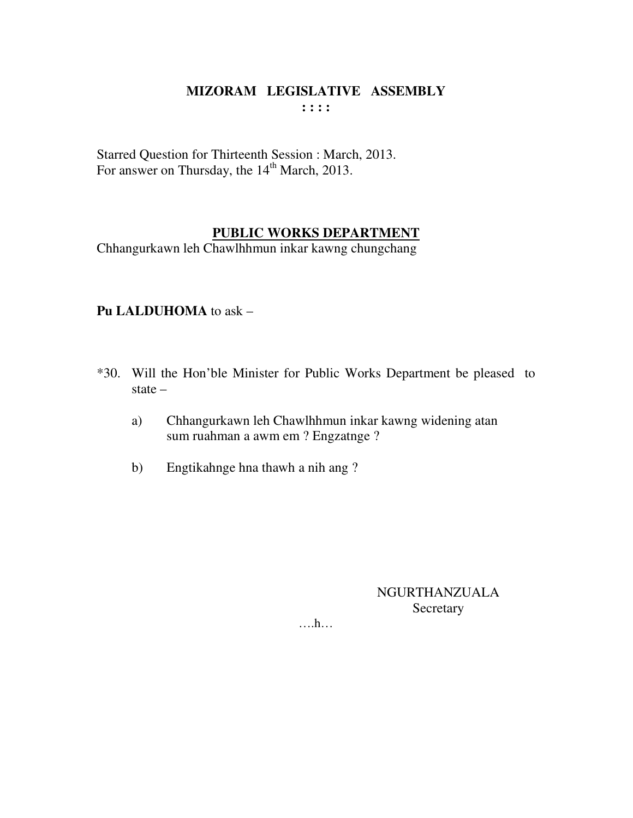Starred Question for Thirteenth Session : March, 2013. For answer on Thursday, the 14<sup>th</sup> March, 2013.

### **PUBLIC WORKS DEPARTMENT**

Chhangurkawn leh Chawlhhmun inkar kawng chungchang

### **Pu LALDUHOMA** to ask –

- \*30. Will the Hon'ble Minister for Public Works Department be pleased to state –
	- a) Chhangurkawn leh Chawlhhmun inkar kawng widening atan sum ruahman a awm em ? Engzatnge ?
	- b) Engtikahnge hna thawh a nih ang ?

### NGURTHANZUALA Secretary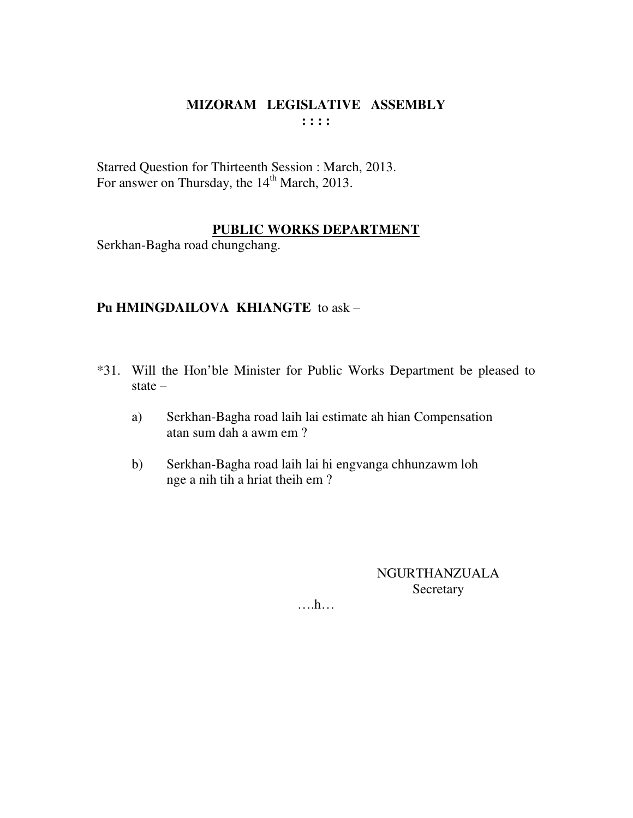Starred Question for Thirteenth Session : March, 2013. For answer on Thursday, the 14<sup>th</sup> March, 2013.

### **PUBLIC WORKS DEPARTMENT**

Serkhan-Bagha road chungchang.

### Pu HMINGDAILOVA KHIANGTE to ask -

- \*31. Will the Hon'ble Minister for Public Works Department be pleased to state  $-$ 
	- Serkhan-Bagha road laih lai estimate ah hian Compensation a) atan sum dah a awm em ?
	- Serkhan-Bagha road laih lai hi engvanga chhunzawm loh  $b)$ nge a nih tih a hriat theih em?

**NGURTHANZUALA** Secretary

 $\dots$ ...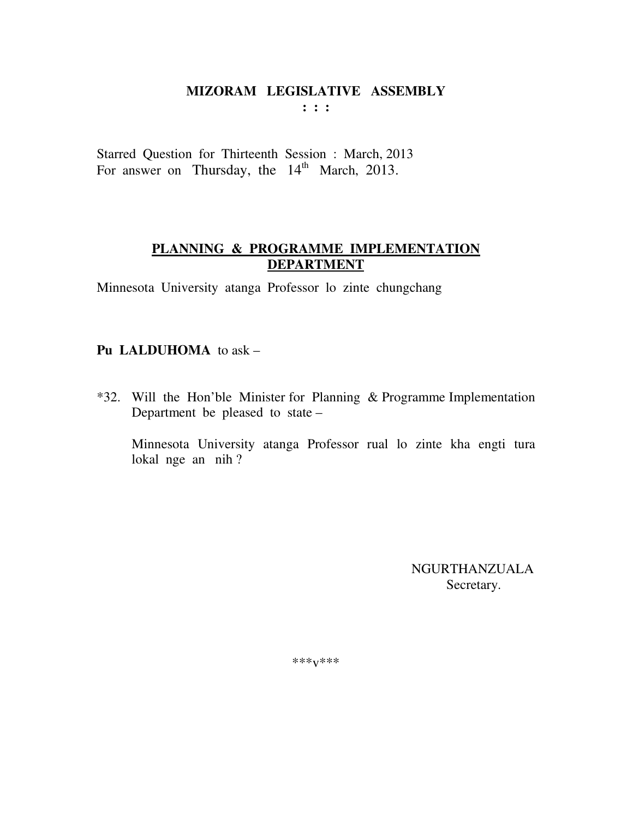Starred Question for Thirteenth Session : March, 2013 For answer on Thursday, the  $14<sup>th</sup>$  March, 2013.

### **PLANNING & PROGRAMME IMPLEMENTATION DEPARTMENT**

Minnesota University atanga Professor lo zinte chungchang

### **Pu LALDUHOMA** to ask –

\*32. Will the Hon'ble Minister for Planning & Programme Implementation Department be pleased to state –

 Minnesota University atanga Professor rual lo zinte kha engti tura lokal nge an nih ?

> NGURTHANZUALA Secretary.

\*\*\*v\*\*\*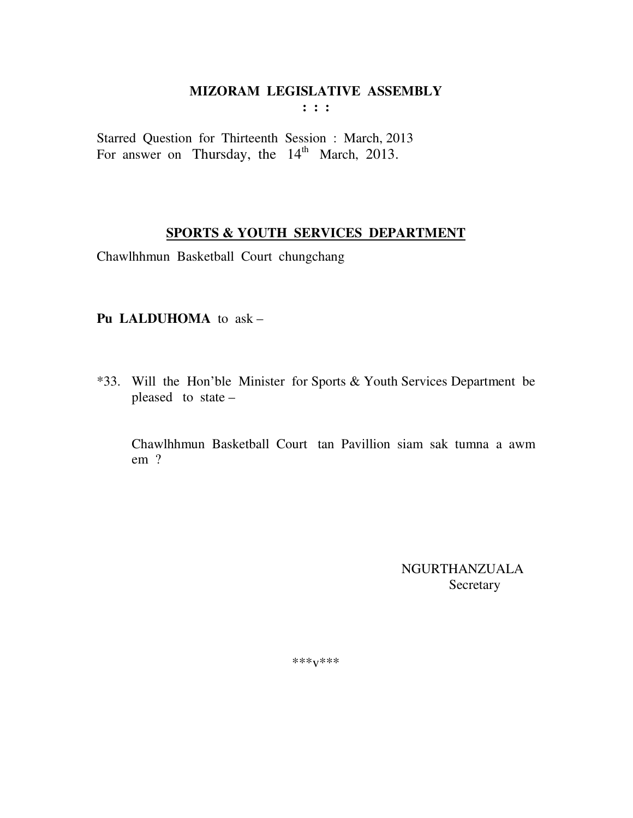$\mathbf{1}$  :  $\mathbf{1}$ 

Starred Question for Thirteenth Session : March, 2013 For answer on Thursday, the 14<sup>th</sup> March, 2013.

### **SPORTS & YOUTH SERVICES DEPARTMENT**

Chawlhhmun Basketball Court chungchang

### Pu LALDUHOMA to ask -

\*33. Will the Hon'ble Minister for Sports & Youth Services Department be pleased to state -

Chawlhhmun Basketball Court tan Pavillion siam sak tumna a awm  $em$ ?

> **NGURTHANZUALA** Secretary

\*\*\* $V$ \*\*\*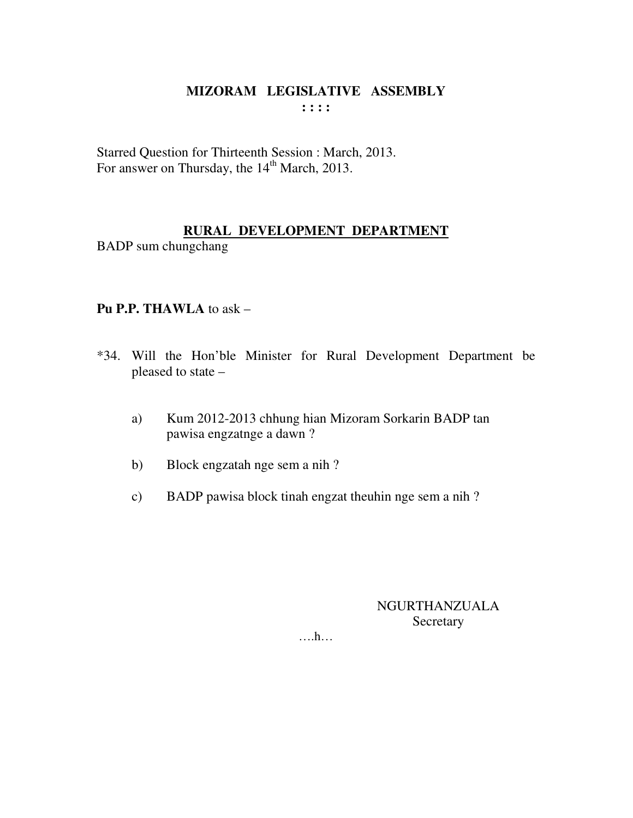Starred Question for Thirteenth Session : March, 2013. For answer on Thursday, the 14<sup>th</sup> March, 2013.

### **RURAL DEVELOPMENT DEPARTMENT**

BADP sum chungchang

### **Pu P.P. THAWLA** to ask –

- \*34. Will the Hon'ble Minister for Rural Development Department be pleased to state –
	- a) Kum 2012-2013 chhung hian Mizoram Sorkarin BADP tan pawisa engzatnge a dawn ?
	- b) Block engzatah nge sem a nih ?
	- c) BADP pawisa block tinah engzat theuhin nge sem a nih ?

### NGURTHANZUALA **Secretary**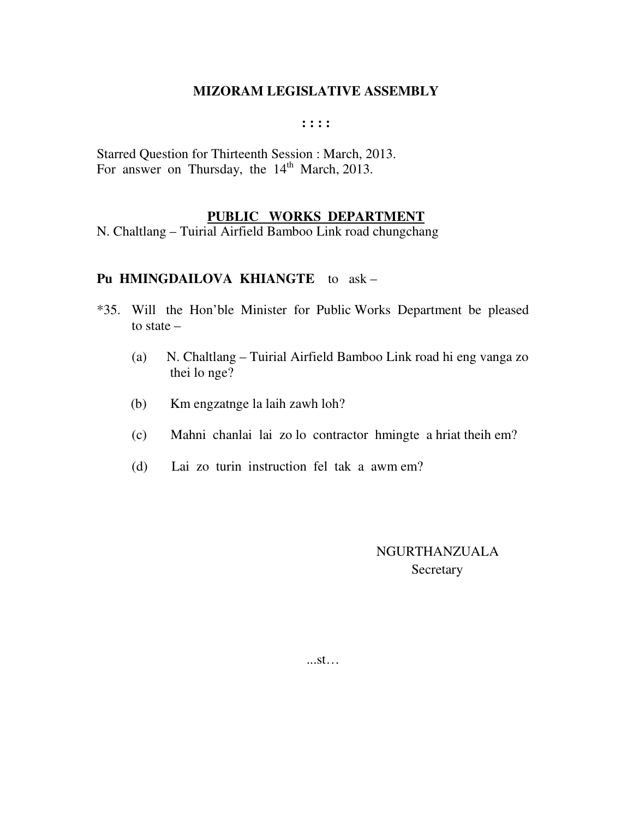**: : : :** 

Starred Question for Thirteenth Session : March, 2013. For answer on Thursday, the  $14<sup>th</sup>$  March, 2013.

#### **PUBLIC WORKS DEPARTMENT**

N. Chaltlang – Tuirial Airfield Bamboo Link road chungchang

#### **Pu HMINGDAILOVA KHIANGTE** to ask –

- \*35. Will the Hon'ble Minister for Public Works Department be pleased to state –
	- (a) N. Chaltlang Tuirial Airfield Bamboo Link road hi eng vanga zo thei lo nge?
	- (b) Km engzatnge la laih zawh loh?
	- (c) Mahni chanlai lai zo lo contractor hmingte a hriat theih em?
	- (d) Lai zo turin instruction fel tak a awm em?

 NGURTHANZUALA **Secretary** 

...st…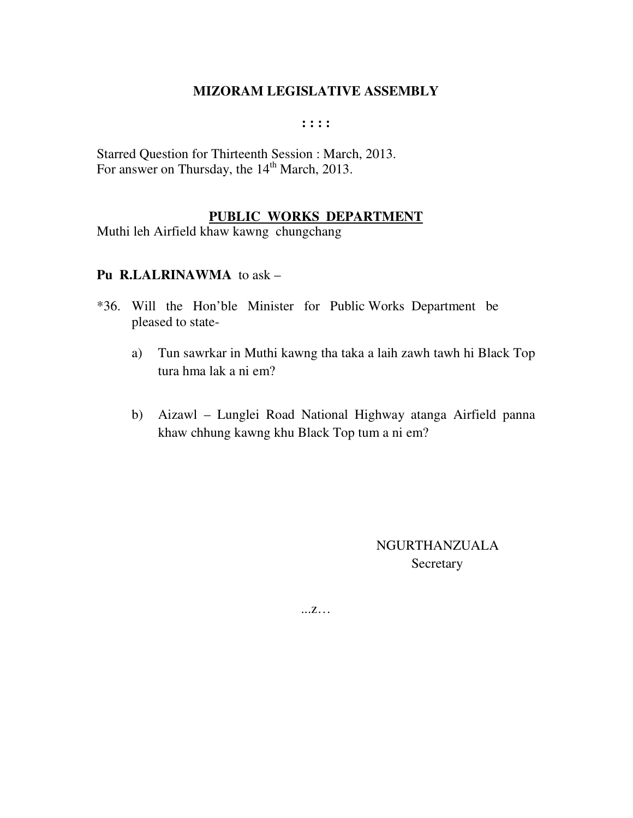**: : : :** 

Starred Question for Thirteenth Session : March, 2013. For answer on Thursday, the 14<sup>th</sup> March, 2013.

#### **PUBLIC WORKS DEPARTMENT**

Muthi leh Airfield khaw kawng chungchang

#### **Pu R.LALRINAWMA** to ask –

- \*36. Will the Hon'ble Minister for Public Works Department be pleased to state
	- a) Tun sawrkar in Muthi kawng tha taka a laih zawh tawh hi Black Top tura hma lak a ni em?
	- b) Aizawl Lunglei Road National Highway atanga Airfield panna khaw chhung kawng khu Black Top tum a ni em?

NGURTHANZUALA **Secretary** 

...z…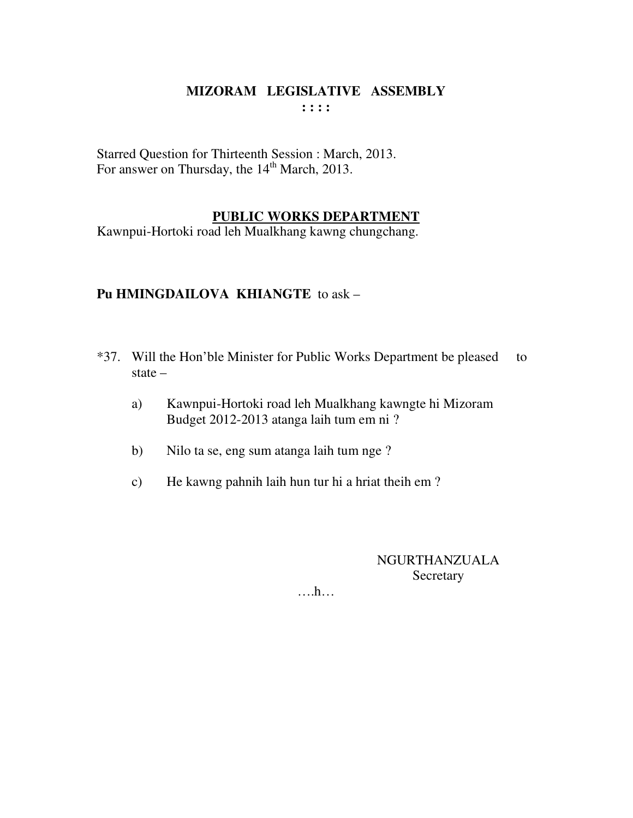Starred Question for Thirteenth Session : March, 2013. For answer on Thursday, the  $14<sup>th</sup>$  March, 2013.

#### **PUBLIC WORKS DEPARTMENT**

Kawnpui-Hortoki road leh Mualkhang kawng chungchang.

### **Pu HMINGDAILOVA KHIANGTE** to ask –

- \*37. Will the Hon'ble Minister for Public Works Department be pleased to state –
	- a) Kawnpui-Hortoki road leh Mualkhang kawngte hi Mizoram Budget 2012-2013 atanga laih tum em ni ?
	- b) Nilo ta se, eng sum atanga laih tum nge ?
	- c) He kawng pahnih laih hun tur hi a hriat theih em ?

NGURTHANZUALA **Secretary**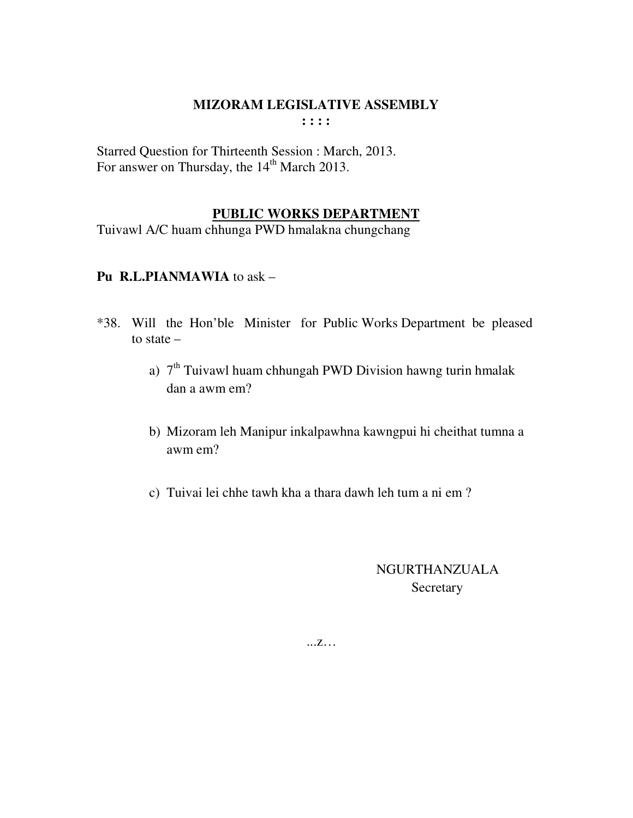Starred Question for Thirteenth Session : March, 2013. For answer on Thursday, the 14<sup>th</sup> March 2013.

### **PUBLIC WORKS DEPARTMENT**

Tuivawl A/C huam chhunga PWD hmalakna chungchang

#### **Pu R.L.PIANMAWIA** to ask –

- \*38. Will the Hon'ble Minister for Public Works Department be pleased to state –
	- a)  $7<sup>th</sup>$  Tuivawl huam chhungah PWD Division hawng turin hmalak dan a awm em?
	- b) Mizoram leh Manipur inkalpawhna kawngpui hi cheithat tumna a awm em?
	- c) Tuivai lei chhe tawh kha a thara dawh leh tum a ni em ?

# NGURTHANZUALA Secretary

...z…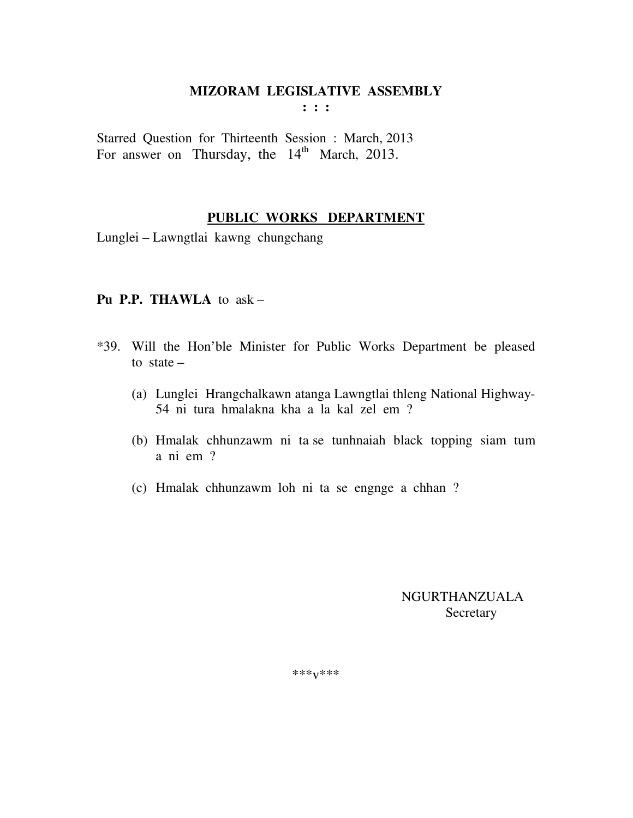**: : :** 

Starred Question for Thirteenth Session : March, 2013 For answer on Thursday, the  $14<sup>th</sup>$  March, 2013.

#### **PUBLIC WORKS DEPARTMENT**

Lunglei – Lawngtlai kawng chungchang

#### **Pu P.P. THAWLA** to ask –

- \*39. Will the Hon'ble Minister for Public Works Department be pleased to state –
	- (a) Lunglei Hrangchalkawn atanga Lawngtlai thleng National Highway-54 ni tura hmalakna kha a la kal zel em ?
	- (b) Hmalak chhunzawm ni ta se tunhnaiah black topping siam tum a ni em ?
	- (c) Hmalak chhunzawm loh ni ta se engnge a chhan ?

 NGURTHANZUALA Secretary

\*\*\*v\*\*\*